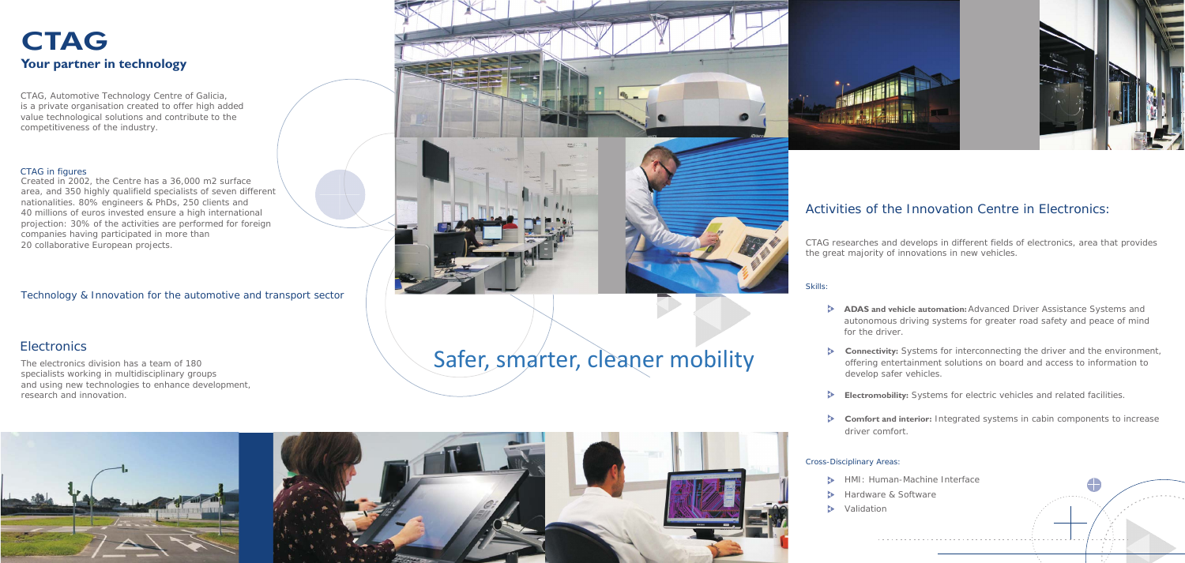CTAG researches and develops in different fields of electronics, area that provides the great majority of innovations in new vehicles.

#### Activities of the Innovation Centre in Electronics:

**Connectivity:** Systems for interconnecting the driver and the environment, offering entertainment solutions on board and access to information to develop safer vehicles.

**ADAS and vehicle automation:** Advanced Driver Assistance Systems and autonomous driving systems for greater road safety and peace of mind for the driver.

HMI: Human-Machine Interface **B** Hardware & Software  $\triangleright$  Validation 

**Electromobility:** Systems for electric vehicles and related facilities.

**Comfort and interior:** Integrated systems in cabin components to increase driver comfort.

## **CTAG Your partner in technology**

Skills:

- 
- 
- $\triangleright$
- 

#### Cross-Disciplinary Areas:

### **Electronics**

CTAG, Automotive Technology Centre of Galicia, is a private organisation created to offer high added value technological solutions and contribute to the competitiveness of the industry.

#### CTAG in figures

Created in 2002, the Centre has a 36,000 m2 surface area, and 350 highly qualifield specialists of seven different nationalities. 80% engineers & PhDs, 250 clients and 40 millions of euros invested ensure a high international projection: 30% of the activities are performed for foreign companies having participated in more than 20 collaborative European projects.

Technology & Innovation for the automotive and transport sector





The electronics division has a team of 180 specialists working in multidisciplinary groups and using new technologies to enhance development, research and innovation.

# Safer, smarter, cleaner mobility